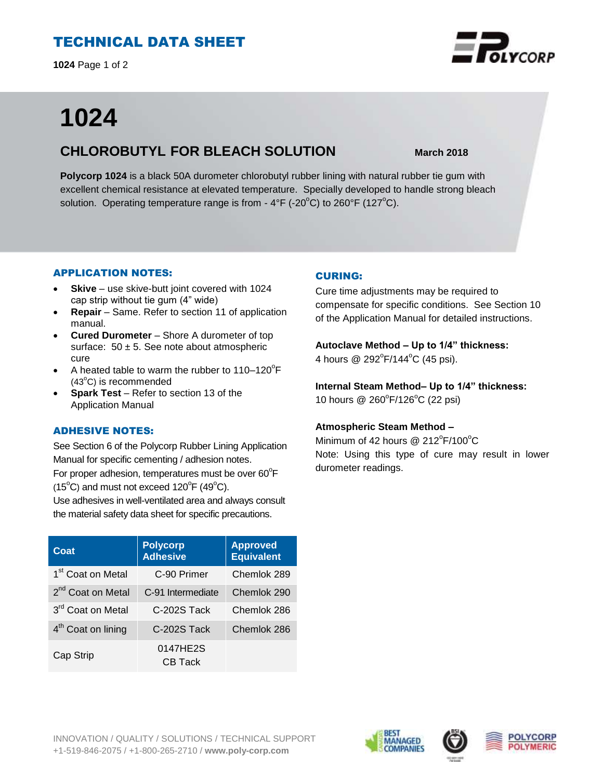# TECHNICAL DATA SHEET

**1024** Page 1 of 2

# **1024**

# **CHLOROBUTYL FOR BLEACH SOLUTION March 2018**

**Polycorp 1024** is a black 50A durometer chlorobutyl rubber lining with natural rubber tie gum with excellent chemical resistance at elevated temperature. Specially developed to handle strong bleach solution. Operating temperature range is from  $-4\degree$ F ( $-20\degree$ C) to 260 $\degree$ F (127 $\degree$ C).

## APPLICATION NOTES:

- **Skive** use skive-butt joint covered with 1024 cap strip without tie gum (4" wide)
- **Repair**  Same. Refer to section 11 of application manual.
- **Cured Durometer**  Shore A durometer of top surface:  $50 \pm 5$ . See note about atmospheric cure
- A heated table to warm the rubber to  $110-120^{\circ}F$  $(43^{\circ}C)$  is recommended
- **Spark Test** Refer to section 13 of the Application Manual

### ADHESIVE NOTES:

See Section 6 of the Polycorp Rubber Lining Application Manual for specific cementing / adhesion notes. For proper adhesion, temperatures must be over  $60^{\circ}$ F  $(15^{\circ}C)$  and must not exceed  $120^{\circ}F(49^{\circ}C)$ .

Use adhesives in well-ventilated area and always consult the material safety data sheet for specific precautions.

| Coat                          | <b>Polycorp</b><br><b>Adhesive</b> | <b>Approved</b><br><b>Equivalent</b> |
|-------------------------------|------------------------------------|--------------------------------------|
| 1 <sup>st</sup> Coat on Metal | C-90 Primer                        | Chemlok 289                          |
| 2 <sup>nd</sup> Coat on Metal | C-91 Intermediate                  | Chemlok 290                          |
| 3 <sup>rd</sup> Coat on Metal | C-202S Tack                        | Chemlok 286                          |
| $4th$ Coat on lining          | C-202S Tack                        | Chemlok 286                          |
| Cap Strip                     | 0147HE2S<br><b>CB Tack</b>         |                                      |

## CURING:

Cure time adjustments may be required to compensate for specific conditions. See Section 10 of the Application Manual for detailed instructions.

**Autoclave Method – Up to 1/4" thickness:** 

4 hours @ 292°F/144°C (45 psi).

**Internal Steam Method– Up to 1/4" thickness:** 10 hours @ 260°F/126°C (22 psi)

### **Atmospheric Steam Method –**

Minimum of 42 hours  $@$  212 $^{\circ}$ F/100 $^{\circ}$ C Note: Using this type of cure may result in lower durometer readings.